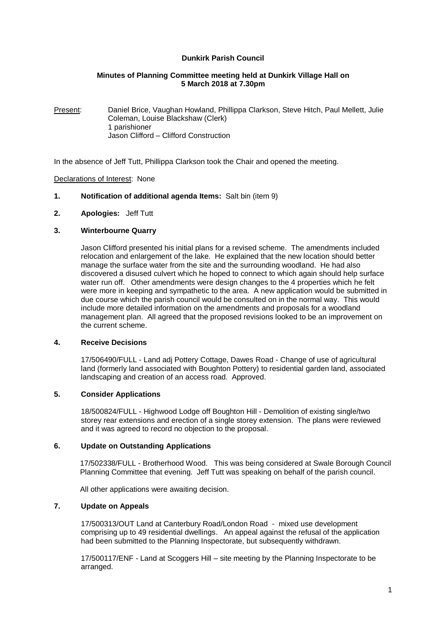## **Dunkirk Parish Council**

## **Minutes of Planning Committee meeting held at Dunkirk Village Hall on 5 March 2018 at 7.30pm**

Present: Daniel Brice, Vaughan Howland, Phillippa Clarkson, Steve Hitch, Paul Mellett, Julie Coleman, Louise Blackshaw (Clerk) 1 parishioner Jason Clifford – Clifford Construction

In the absence of Jeff Tutt, Phillippa Clarkson took the Chair and opened the meeting.

### Declarations of Interest: None

- **1. Notification of additional agenda Items:** Salt bin (item 9)
- **2. Apologies:** Jeff Tutt

### **3. Winterbourne Quarry**

Jason Clifford presented his initial plans for a revised scheme. The amendments included relocation and enlargement of the lake. He explained that the new location should better manage the surface water from the site and the surrounding woodland. He had also discovered a disused culvert which he hoped to connect to which again should help surface water run off. Other amendments were design changes to the 4 properties which he felt were more in keeping and sympathetic to the area. A new application would be submitted in due course which the parish council would be consulted on in the normal way. This would include more detailed information on the amendments and proposals for a woodland management plan. All agreed that the proposed revisions looked to be an improvement on the current scheme.

#### **4. Receive Decisions**

17/506490/FULL - Land adj Pottery Cottage, Dawes Road - Change of use of agricultural land (formerly land associated with Boughton Pottery) to residential garden land, associated landscaping and creation of an access road. Approved.

## **5. Consider Applications**

18/500824/FULL - Highwood Lodge off Boughton Hill - Demolition of existing single/two storey rear extensions and erection of a single storey extension. The plans were reviewed and it was agreed to record no objection to the proposal.

#### **6. Update on Outstanding Applications**

17/502338/FULL - Brotherhood Wood. This was being considered at Swale Borough Council Planning Committee that evening. Jeff Tutt was speaking on behalf of the parish council.

All other applications were awaiting decision.

## **7. Update on Appeals**

17/500313/OUT Land at Canterbury Road/London Road - mixed use development comprising up to 49 residential dwellings. An appeal against the refusal of the application had been submitted to the Planning Inspectorate, but subsequently withdrawn.

17/500117/ENF - Land at Scoggers Hill – site meeting by the Planning Inspectorate to be arranged.